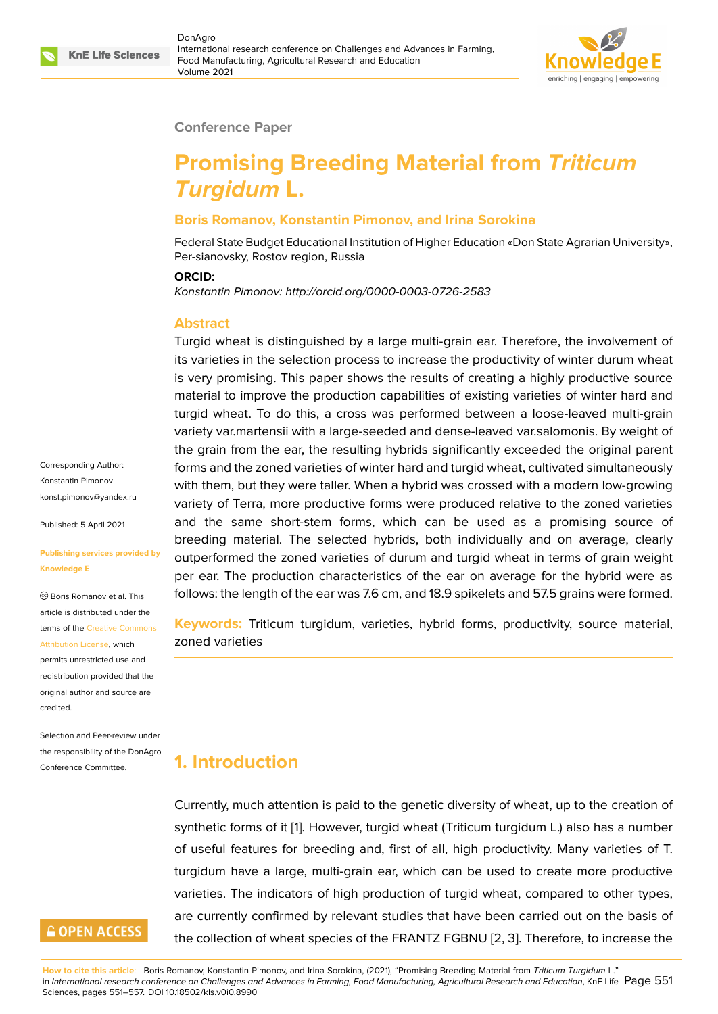

#### **Conference Paper**

# **Promising Breeding Material from** *Triticum Turgidum* **L.**

#### **Boris Romanov, Konstantin Pimonov, and Irina Sorokina**

Federal State Budget Educational Institution of Higher Education «Don State Agrarian University», Per-sianovsky, Rostov region, Russia

#### **ORCID:**

*Konstantin Pimonov: http://orcid.org/0000-0003-0726-2583*

#### **Abstract**

Turgid wheat is distinguished by a large multi-grain ear. Therefore, the involvement of its varieties in the selection process to increase the productivity of winter durum wheat is very promising. This paper shows the results of creating a highly productive source material to improve the production capabilities of existing varieties of winter hard and turgid wheat. To do this, a cross was performed between a loose-leaved multi-grain variety var.martensii with a large-seeded and dense-leaved var.salomonis. By weight of the grain from the ear, the resulting hybrids significantly exceeded the original parent forms and the zoned varieties of winter hard and turgid wheat, cultivated simultaneously with them, but they were taller. When a hybrid was crossed with a modern low-growing variety of Terra, more productive forms were produced relative to the zoned varieties and the same short-stem forms, which can be used as a promising source of breeding material. The selected hybrids, both individually and on average, clearly outperformed the zoned varieties of durum and turgid wheat in terms of grain weight per ear. The production characteristics of the ear on average for the hybrid were as follows: the length of the ear was 7.6 cm, and 18.9 spikelets and 57.5 grains were formed.

**Keywords:** Triticum turgidum, varieties, hybrid forms, productivity, source material, zoned varieties

## **1. Introduction**

Currently, much attention is paid to the genetic diversity of wheat, up to the creation of synthetic forms of it [1]. However, turgid wheat (Triticum turgidum L.) also has a number of useful features for breeding and, first of all, high productivity. Many varieties of T. turgidum have a large, multi-grain ear, which can be used to create more productive varieties. The indica[to](#page-5-0)rs of high production of turgid wheat, compared to other types, are currently confirmed by relevant studies that have been carried out on the basis of the collection of wheat species of the FRANTZ FGBNU [2, 3]. Therefore, to increase the

### **GOPEN ACCESS**

**How to cite this article**: Boris Romanov, Konstantin Pimonov, and Irina Sorokina, (2021), "Promising Breeding Material from *Triticum Turgidum* L." in *International research conference on Challenges and Advances in Farming, Food Manufacturing, Agricultural Research and Education*, KnE Life Page 551 Sciences, pages 551–557. DOI 10.18502/kls.v0i0.8990

Corresponding Author: Konstantin Pimonov konst.pimonov@yandex.ru

Published: 5 April 2021

#### **[Publishing services provid](mailto:konst.pimonov@yandex.ru)ed by Knowledge E**

Boris Romanov et al. This article is distributed under the terms of the Creative Commons Attribution License, which

permits unrestricted use and redistribution provided that the original auth[or and source are](https://creativecommons.org/licenses/by/4.0/) [credited.](https://creativecommons.org/licenses/by/4.0/)

Selection and Peer-review under the responsibility of the DonAgro Conference Committee.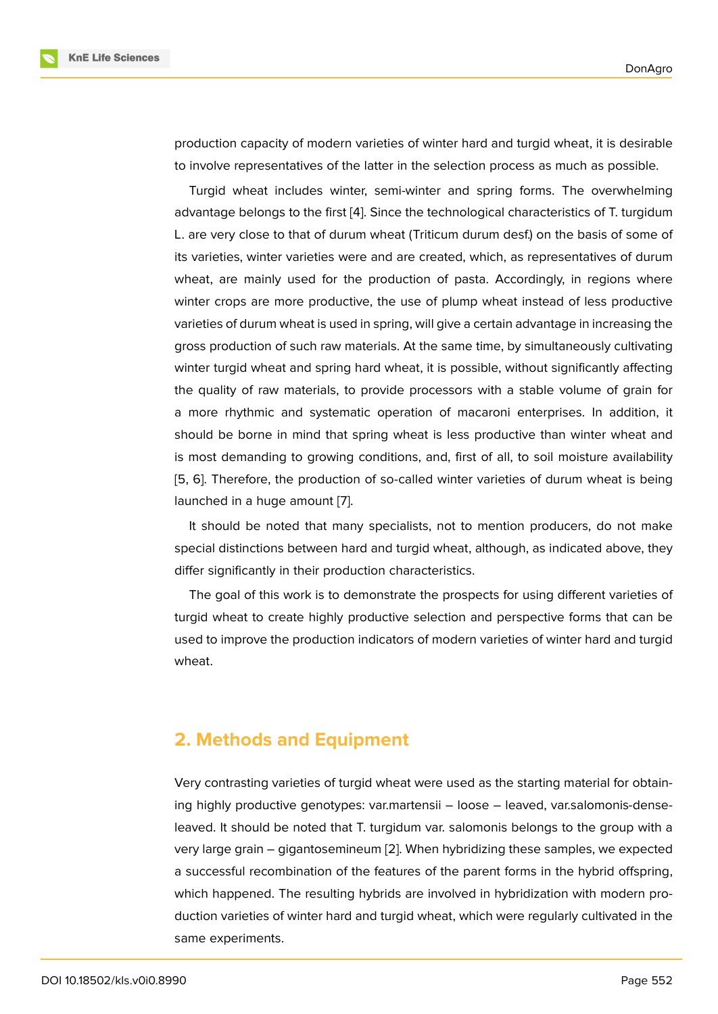production capacity of modern varieties of winter hard and turgid wheat, it is desirable to involve representatives of the latter in the selection process as much as possible.

Turgid wheat includes winter, semi-winter and spring forms. The overwhelming advantage belongs to the first [4]. Since the technological characteristics of T. turgidum L. are very close to that of durum wheat (Triticum durum desf.) on the basis of some of its varieties, winter varieties were and are created, which, as representatives of durum wheat, are mainly used for t[he](#page-5-1) production of pasta. Accordingly, in regions where winter crops are more productive, the use of plump wheat instead of less productive varieties of durum wheat is used in spring, will give a certain advantage in increasing the gross production of such raw materials. At the same time, by simultaneously cultivating winter turgid wheat and spring hard wheat, it is possible, without significantly affecting the quality of raw materials, to provide processors with a stable volume of grain for a more rhythmic and systematic operation of macaroni enterprises. In addition, it should be borne in mind that spring wheat is less productive than winter wheat and is most demanding to growing conditions, and, first of all, to soil moisture availability [5, 6]. Therefore, the production of so-called winter varieties of durum wheat is being launched in a huge amount [7].

It should be noted that many specialists, not to mention producers, do not make [sp](#page-5-2)[ec](#page-5-3)ial distinctions between hard and turgid wheat, although, as indicated above, they differ significantly in their pr[od](#page-6-0)uction characteristics.

The goal of this work is to demonstrate the prospects for using different varieties of turgid wheat to create highly productive selection and perspective forms that can be used to improve the production indicators of modern varieties of winter hard and turgid wheat.

### **2. Methods and Equipment**

Very contrasting varieties of turgid wheat were used as the starting material for obtaining highly productive genotypes: var.martensii – loose – leaved, var.salomonis-denseleaved. It should be noted that T. turgidum var. salomonis belongs to the group with a very large grain – gigantosemineum [2]. When hybridizing these samples, we expected a successful recombination of the features of the parent forms in the hybrid offspring, which happened. The resulting hybrids are involved in hybridization with modern production varieties of winter hard and t[urg](#page-5-4)id wheat, which were regularly cultivated in the same experiments.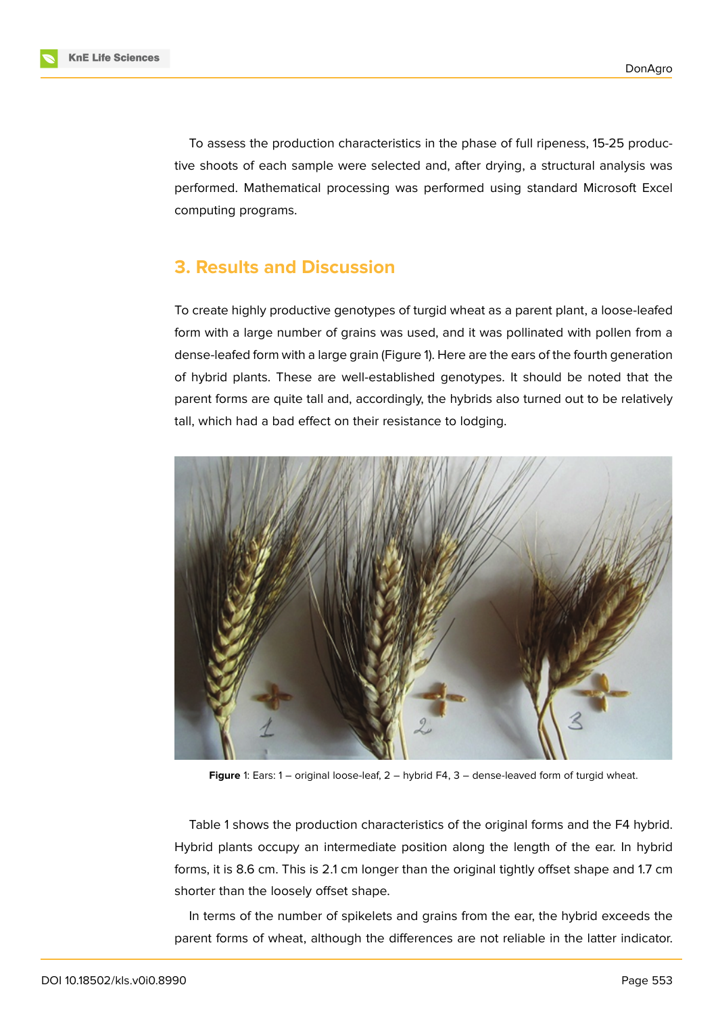To assess the production characteristics in the phase of full ripeness, 15-25 productive shoots of each sample were selected and, after drying, a structural analysis was performed. Mathematical processing was performed using standard Microsoft Excel computing programs.

### **3. Results and Discussion**

To create highly productive genotypes of turgid wheat as a parent plant, a loose-leafed form with a large number of grains was used, and it was pollinated with pollen from a dense-leafed form with a large grain (Figure 1). Here are the ears of the fourth generation of hybrid plants. These are well-established genotypes. It should be noted that the parent forms are quite tall and, accordingly, the hybrids also turned out to be relatively tall, which had a bad effect on their resista[nc](#page-2-0)e to lodging.



**Figure** 1: Ears: 1 – original loose-leaf, 2 – hybrid F4, 3 – dense-leaved form of turgid wheat.

<span id="page-2-0"></span>Table 1 shows the production characteristics of the original forms and the F4 hybrid. Hybrid plants occupy an intermediate position along the length of the ear. In hybrid forms, it is 8.6 cm. This is 2.1 cm longer than the original tightly offset shape and 1.7 cm shorter than the loosely offset shape.

In terms of the number of spikelets and grains from the ear, the hybrid exceeds the parent forms of wheat, although the differences are not reliable in the latter indicator.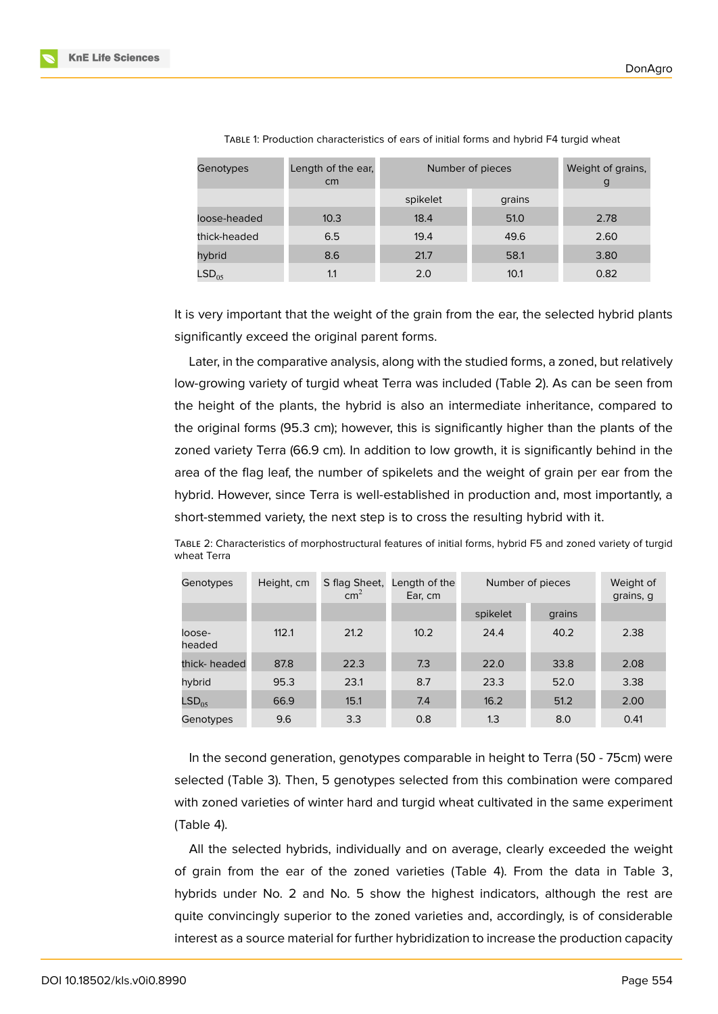| Genotypes         | Length of the ear,<br>cm | Number of pieces | Weight of grains,<br>g |      |
|-------------------|--------------------------|------------------|------------------------|------|
|                   |                          | spikelet         | grains                 |      |
| loose-headed      | 10.3                     | 18.4             | 51.0                   | 2.78 |
| thick-headed      | 6.5                      | 19.4             | 49.6                   | 2.60 |
| hybrid            | 8.6                      | 21.7             | 58.1                   | 3.80 |
| LSD <sub>05</sub> | 1.1                      | 2.0              | 10.1                   | 0.82 |

TABLE 1: Production characteristics of ears of initial forms and hybrid F4 turgid wheat

It is very important that the weight of the grain from the ear, the selected hybrid plants significantly exceed the original parent forms.

Later, in the comparative analysis, along with the studied forms, a zoned, but relatively low-growing variety of turgid wheat Terra was included (Table 2). As can be seen from the height of the plants, the hybrid is also an intermediate inheritance, compared to the original forms (95.3 cm); however, this is significantly higher than the plants of the zoned variety Terra (66.9 cm). In addition to low growth, it is significantly behind in the area of the flag leaf, the number of spikelets and the weight of grain per ear from the hybrid. However, since Terra is well-established in production and, most importantly, a short-stemmed variety, the next step is to cross the resulting hybrid with it.

TABLE 2: Characteristics of morphostructural features of initial forms, hybrid F5 and zoned variety of turgid wheat Terra

| Genotypes         | Height, cm | S flag Sheet,<br>$\text{cm}^2$ | Length of the<br>Ear, cm | Number of pieces |        | Weight of<br>grains, g |
|-------------------|------------|--------------------------------|--------------------------|------------------|--------|------------------------|
|                   |            |                                |                          | spikelet         | grains |                        |
| loose-<br>headed  | 112.1      | 21.2                           | 10.2                     | 24.4             | 40.2   | 2.38                   |
| thick- headed     | 87.8       | 22.3                           | 7.3                      | 22.0             | 33.8   | 2.08                   |
| hybrid            | 95.3       | 23.1                           | 8.7                      | 23.3             | 52.0   | 3.38                   |
| LSD <sub>05</sub> | 66.9       | 15.1                           | 7.4                      | 16.2             | 51.2   | 2.00                   |
| Genotypes         | 9.6        | 3.3                            | 0.8                      | 1.3              | 8.0    | 0.41                   |

In the second generation, genotypes comparable in height to Terra (50 - 75cm) were selected (Table 3). Then, 5 genotypes selected from this combination were compared with zoned varieties of winter hard and turgid wheat cultivated in the same experiment (Table 4).

All the selected hybrids, individually and on average, clearly exceeded the weight of grain from the ear of the zoned varieties (Table 4). From the data in Table 3, hybrids under No. 2 and No. 5 show the highest indicators, although the rest are quite convincingly superior to the zoned varieties and, accordingly, is of considerable interest as a source material for further hybridization to increase the production capacity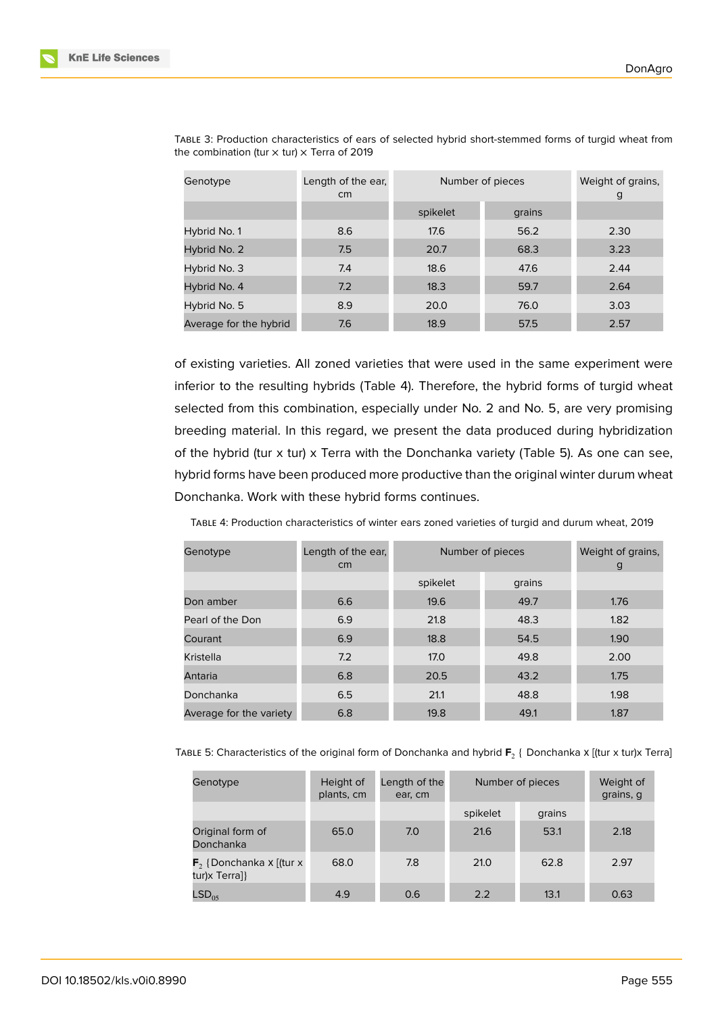| Genotype               | Length of the ear,<br>cm | Number of pieces | Weight of grains,<br>g |      |
|------------------------|--------------------------|------------------|------------------------|------|
|                        |                          | spikelet         | grains                 |      |
| Hybrid No. 1           | 8.6                      | 17.6             | 56.2                   | 2.30 |
| Hybrid No. 2           | 7.5                      | 20.7             | 68.3                   | 3.23 |
| Hybrid No. 3           | 7.4                      | 18.6             | 47.6                   | 2.44 |
| Hybrid No. 4           | 7.2                      | 18.3             | 59.7                   | 2.64 |
| Hybrid No. 5           | 8.9                      | 20.0             | 76.0                   | 3.03 |
| Average for the hybrid | 7.6                      | 18.9             | 57.5                   | 2.57 |

TABLE 3: Production characteristics of ears of selected hybrid short-stemmed forms of turgid wheat from the combination (tur  $\times$  tur)  $\times$  Terra of 2019

of existing varieties. All zoned varieties that were used in the same experiment were inferior to the resulting hybrids (Table 4). Therefore, the hybrid forms of turgid wheat selected from this combination, especially under No. 2 and No. 5, are very promising breeding material. In this regard, we present the data produced during hybridization of the hybrid (tur x tur) x Terra with the Donchanka variety (Table 5). As one can see, hybrid forms have been produced more productive than the original winter durum wheat Donchanka. Work with these hybrid forms continues.

TABLE 4: Production characteristics of winter ears zoned varieties of turgid and durum wheat, 2019

| Genotype                | Length of the ear,<br>cm <sub>2</sub> | Number of pieces | Weight of grains,<br>g |      |
|-------------------------|---------------------------------------|------------------|------------------------|------|
|                         |                                       | spikelet         | grains                 |      |
| Don amber               | 6.6                                   | 19.6             | 49.7                   | 1.76 |
| Pearl of the Don        | 6.9                                   | 21.8             | 48.3                   | 1.82 |
| Courant                 | 6.9                                   | 18.8             | 54.5                   | 1.90 |
| Kristella               | 7.2                                   | 17.0             | 49.8                   | 2.00 |
| Antaria                 | 6.8                                   | 20.5             | 43.2                   | 1.75 |
| Donchanka               | 6.5                                   | 21.1             | 48.8                   | 1.98 |
| Average for the variety | 6.8                                   | 19.8             | 49.1                   | 1.87 |

Тавце 5: Characteristics of the original form of Donchanka and hybrid  $\mathsf{F}_2$  { Donchanka x [(tur x tur)x Terra]

| Genotype                                             | Height of<br>plants, cm | Length of the<br>ear, cm | Number of pieces |        | Weight of<br>grains, g |
|------------------------------------------------------|-------------------------|--------------------------|------------------|--------|------------------------|
|                                                      |                         |                          | spikelet         | grains |                        |
| Original form of<br>Donchanka                        | 65.0                    | 7.0                      | 21.6             | 53.1   | 2.18                   |
| $\mathsf{F}_2$ {Donchanka x [(tur x<br>tur)x Terra]} | 68.0                    | 7.8                      | 21.0             | 62.8   | 2.97                   |
| LSD <sub>05</sub>                                    | 4.9                     | 0.6                      | 2.2              | 13.1   | 0.63                   |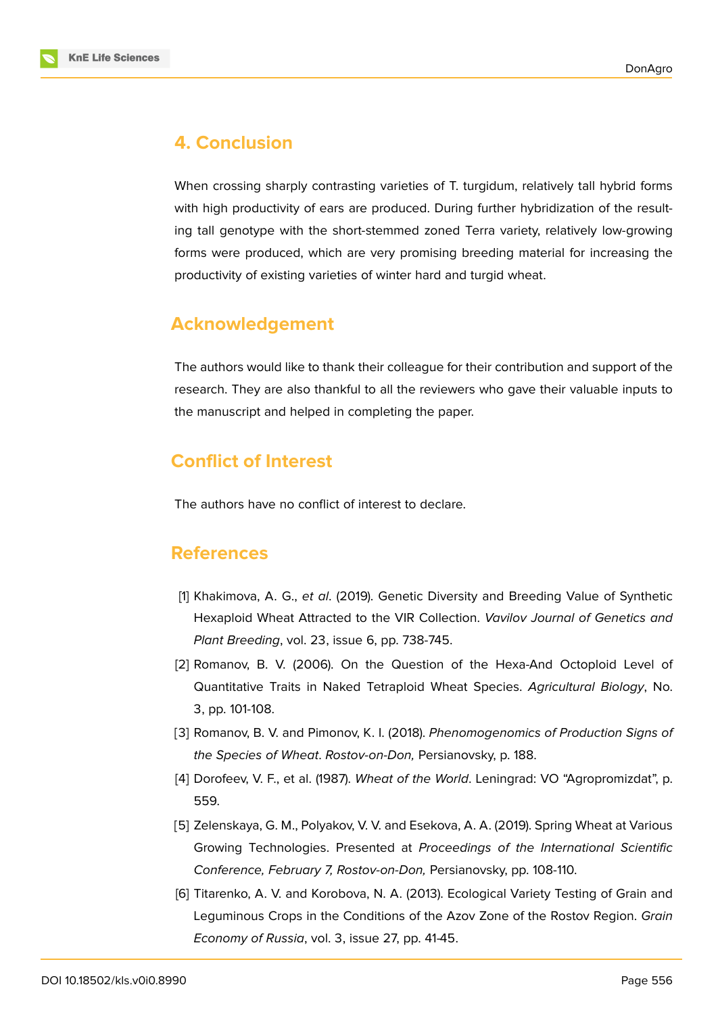



### **4. Conclusion**

When crossing sharply contrasting varieties of T. turgidum, relatively tall hybrid forms with high productivity of ears are produced. During further hybridization of the resulting tall genotype with the short-stemmed zoned Terra variety, relatively low-growing forms were produced, which are very promising breeding material for increasing the productivity of existing varieties of winter hard and turgid wheat.

### **Acknowledgement**

The authors would like to thank their colleague for their contribution and support of the research. They are also thankful to all the reviewers who gave their valuable inputs to the manuscript and helped in completing the paper.

# **Conflict of Interest**

The authors have no conflict of interest to declare.

### **References**

- <span id="page-5-0"></span>[1] Khakimova, A. G., *et al*. (2019). Genetic Diversity and Breeding Value of Synthetic Hexaploid Wheat Attracted to the VIR Collection. *Vavilov Journal of Genetics and Plant Breeding*, vol. 23, issue 6, pp. 738-745.
- <span id="page-5-4"></span>[2] Romanov, B. V. (2006). On the Question of the Hexa-And Octoploid Level of Quantitative Traits in Naked Tetraploid Wheat Species. *Agricultural Biology*, No. 3, pp. 101-108.
- [3] Romanov, B. V. and Pimonov, K. I. (2018). *Phenomogenomics of Production Signs of the Species of Wheat*. *Rostov-on-Don,* Persianovsky, p. 188.
- <span id="page-5-1"></span>[4] Dorofeev, V. F., et al. (1987). *Wheat of the World*. Leningrad: VO "Agropromizdat", p. 559.
- <span id="page-5-2"></span>[5] Zelenskaya, G. M., Polyakov, V. V. and Esekova, A. A. (2019). Spring Wheat at Various Growing Technologies. Presented at *Proceedings of the International Scientific Conference, February 7, Rostov-on-Don,* Persianovsky, pp. 108-110.
- <span id="page-5-3"></span>[6] Titarenko, A. V. and Korobova, N. A. (2013). Ecological Variety Testing of Grain and Leguminous Crops in the Conditions of the Azov Zone of the Rostov Region. *Grain Economy of Russia*, vol. 3, issue 27, pp. 41-45.